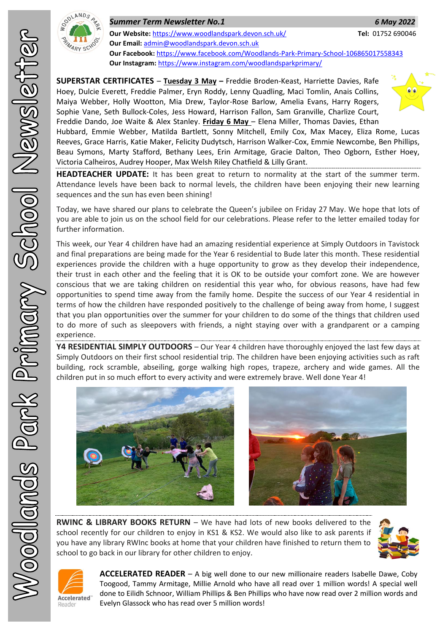

*Summer Term Newsletter No.1 6 May 2022* **Our Website:** <https://www.woodlandspark.devon.sch.uk/> **Tel:** 01752 690046 **Our Email:** [admin@woodlandspark.devon.sch.uk](mailto:admin@woodlandspark.devon.sch.uk) **Our Facebook:** <https://www.facebook.com/Woodlands-Park-Primary-School-106865017558343> **Our Instagram:** <https://www.instagram.com/woodlandsparkprimary/>

**SUPERSTAR CERTIFICATES** – **Tuesday 3 May –** Freddie Broden-Keast, Harriette Davies, Rafe Hoey, Dulcie Everett, Freddie Palmer, Eryn Roddy, Lenny Quadling, Maci Tomlin, Anais Collins, Maiya Webber, Holly Wootton, Mia Drew, Taylor-Rose Barlow, Amelia Evans, Harry Rogers, Sophie Vane, Seth Bullock-Coles, Jess Howard, Harrison Fallon, Sam Granville, Charlize Court, Freddie Dando, Joe Waite & Alex Stanley. **Friday 6 May** – Elena Miller, Thomas Davies, Ethan Hubbard, Emmie Webber, Matilda Bartlett, Sonny Mitchell, Emily Cox, Max Macey, Eliza Rome, Lucas Reeves, Grace Harris, Katie Maker, Felicity Dudytsch, Harrison Walker-Cox, Emmie Newcombe, Ben Phillips, Beau Symons, Marty Stafford, Bethany Lees, Erin Armitage, Gracie Dalton, Theo Ogborn, Esther Hoey,

Victoria Calheiros, Audrey Hooper, Max Welsh Riley Chatfield & Lilly Grant.

**HEADTEACHER UPDATE:** It has been great to return to normality at the start of the summer term. Attendance levels have been back to normal levels, the children have been enjoying their new learning sequences and the sun has even been shining!

Today, we have shared our plans to celebrate the Queen's jubilee on Friday 27 May. We hope that lots of you are able to join us on the school field for our celebrations. Please refer to the letter emailed today for further information.

This week, our Year 4 children have had an amazing residential experience at Simply Outdoors in Tavistock and final preparations are being made for the Year 6 residential to Bude later this month. These residential experiences provide the children with a huge opportunity to grow as they develop their independence, their trust in each other and the feeling that it is OK to be outside your comfort zone. We are however conscious that we are taking children on residential this year who, for obvious reasons, have had few opportunities to spend time away from the family home. Despite the success of our Year 4 residential in terms of how the children have responded positively to the challenge of being away from home, I suggest that you plan opportunities over the summer for your children to do some of the things that children used to do more of such as sleepovers with friends, a night staying over with a grandparent or a camping experience.

**Y4 RESIDENTIAL SIMPLY OUTDOORS** – Our Year 4 children have thoroughly enjoyed the last few days at Simply Outdoors on their first school residential trip. The children have been enjoying activities such as raft building, rock scramble, abseiling, gorge walking high ropes, trapeze, archery and wide games. All the children put in so much effort to every activity and were extremely brave. Well done Year 4!



**RWINC & LIBRARY BOOKS RETURN** – We have had lots of new books delivered to the school recently for our children to enjoy in KS1 & KS2. We would also like to ask parents if you have any library RWInc books at home that your children have finished to return them to school to go back in our library for other children to enjoy.





**ACCELERATED READER** – A big well done to our new millionaire readers Isabelle Dawe, Coby Toogood, Tammy Armitage, Millie Arnold who have all read over 1 million words! A special well done to Eilidh Schnoor, William Phillips & Ben Phillips who have now read over 2 million words and Evelyn Glassock who has read over 5 million words!